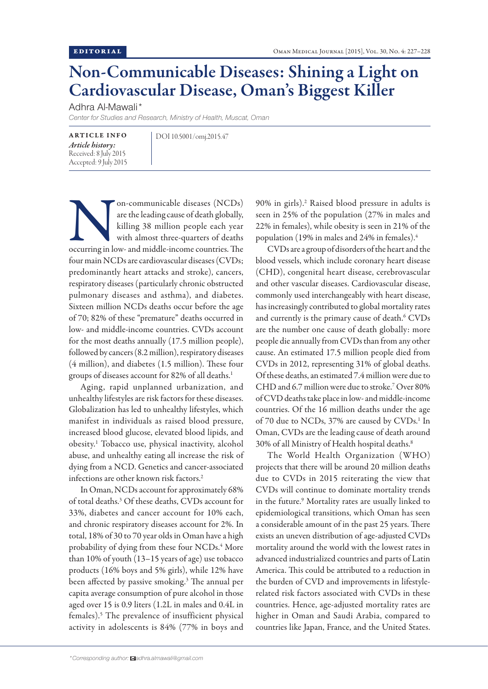## Non-Communicable Diseases: Shining a Light on Cardiovascular Disease, Oman's Biggest Killer

Adhra Al-Mawali\*

*Center for Studies and Research, Ministry of Health, Muscat, Oman*

ARTICLE INFO *Article history:*  Received: 8 July 2015 Accepted: 9 July 2015 DOI 10.5001/omj.2015.47

on-communicable diseases (NCDs)<br>
are the leading cause of death globally,<br>
killing 38 million people each year<br>
with almost three-quarters of deaths<br>
occurring in low- and middle-income countries. The are the leading cause of death globally, killing 38 million people each year with almost three-quarters of deaths four main NCDs are cardiovascular diseases (CVDs; predominantly heart attacks and stroke), cancers, respiratory diseases (particularly chronic obstructed pulmonary diseases and asthma), and diabetes. Sixteen million NCDs deaths occur before the age of 70; 82% of these "premature" deaths occurred in low- and middle-income countries. CVDs account for the most deaths annually (17.5 million people), followed by cancers (8.2 million), respiratory diseases (4 million), and diabetes (1.5 million). These four groups of diseases account for 82% of all deaths.<sup>1</sup>

Aging, rapid unplanned urbanization, and unhealthy lifestyles are risk factors for these diseases. Globalization has led to unhealthy lifestyles, which manifest in individuals as raised blood pressure, increased blood glucose, elevated blood lipids, and obesity.1 Tobacco use, physical inactivity, alcohol abuse, and unhealthy eating all increase the risk of dying from a NCD. Genetics and cancer-associated infections are other known risk factors.<sup>2</sup>

In Oman, NCDs account for approximately 68% of total deaths.3 Of these deaths, CVDs account for 33%, diabetes and cancer account for 10% each, and chronic respiratory diseases account for 2%. In total, 18% of 30 to 70 year olds in Oman have a high probability of dying from these four NCDs.<sup>4</sup> More than 10% of youth (13–15 years of age) use tobacco products (16% boys and 5% girls), while 12% have been affected by passive smoking.<sup>3</sup> The annual per capita average consumption of pure alcohol in those aged over 15 is 0.9 liters (1.2L in males and 0.4L in females).5 The prevalence of insufficient physical activity in adolescents is 84% (77% in boys and

90% in girls).2 Raised blood pressure in adults is seen in 25% of the population (27% in males and 22% in females), while obesity is seen in 21% of the population (19% in males and 24% in females).4

CVDs are a group of disorders of the heart and the blood vessels, which include coronary heart disease (CHD), congenital heart disease, cerebrovascular and other vascular diseases. Cardiovascular disease, commonly used interchangeably with heart disease, has increasingly contributed to global mortality rates and currently is the primary cause of death.<sup>6</sup> CVDs are the number one cause of death globally: more people die annually from CVDs than from any other cause. An estimated 17.5 million people died from CVDs in 2012, representing 31% of global deaths. Of these deaths, an estimated 7.4 million were due to CHD and 6.7 million were due to stroke.7 Over 80% of CVD deaths take place in low- and middle-income countries. Of the 16 million deaths under the age of 70 due to NCDs, 37% are caused by CVDs.<sup>1</sup> In Oman, CVDs are the leading cause of death around 30% of all Ministry of Health hospital deaths.8

The World Health Organization (WHO) projects that there will be around 20 million deaths due to CVDs in 2015 reiterating the view that CVDs will continue to dominate mortality trends in the future.9 Mortality rates are usually linked to epidemiological transitions, which Oman has seen a considerable amount of in the past 25 years. There exists an uneven distribution of age-adjusted CVDs mortality around the world with the lowest rates in advanced industrialized countries and parts of Latin America. This could be attributed to a reduction in the burden of CVD and improvements in lifestylerelated risk factors associated with CVDs in these countries. Hence, age-adjusted mortality rates are higher in Oman and Saudi Arabia, compared to countries like Japan, France, and the United States.